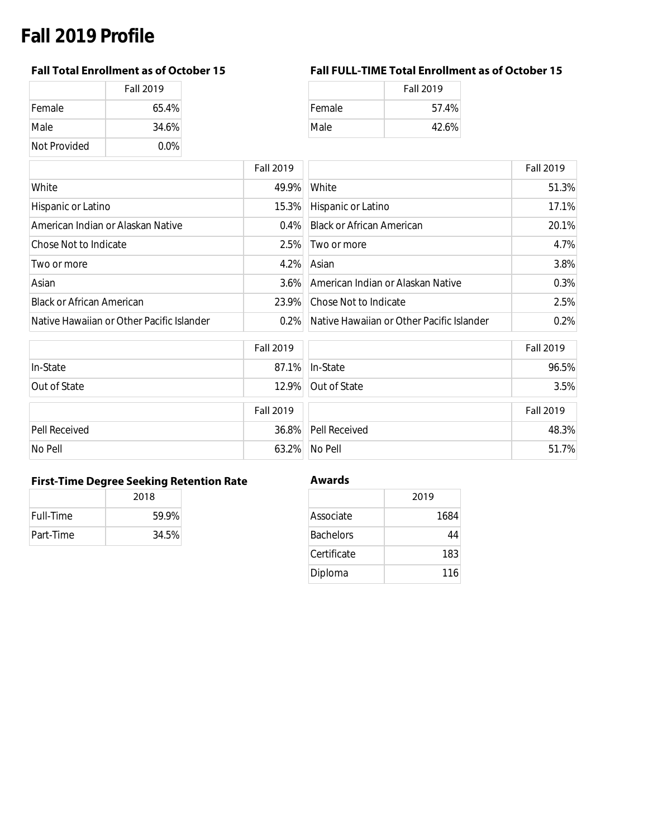# **Fall 2019 Profile**

|               | <b>Fall 2019</b> |
|---------------|------------------|
| <b>Female</b> | 65.4%            |
| Male          | 34.6%            |
| Not Provided  | $0.0\%$          |

## **Fall Total Enrollment as of October 15 Fall FULL-TIME Total Enrollment as of October 15**

|        | <b>Fall 2019</b> |
|--------|------------------|
| Female | 57.4%            |
| Male   | 42.6%            |

|                                           | <b>Fall 2019</b> |                                           | <b>Fall 2019</b> |
|-------------------------------------------|------------------|-------------------------------------------|------------------|
| White                                     | 49.9%            | White                                     | 51.3%            |
| Hispanic or Latino                        | 15.3%            | Hispanic or Latino                        | 17.1%            |
| American Indian or Alaskan Native         |                  | 0.4% Black or African American            | 20.1%            |
| Chose Not to Indicate                     | 2.5%             | Two or more                               | 4.7%             |
| Two or more                               | $4.2\%$          | Asian                                     | 3.8%             |
| Asian                                     | $3.6\%$          | American Indian or Alaskan Native         | 0.3%             |
| <b>Black or African American</b>          | 23.9%            | Chose Not to Indicate                     | 2.5%             |
| Native Hawaiian or Other Pacific Islander | $0.2\%$          | Native Hawaiian or Other Pacific Islander | 0.2%             |

|               | <b>Fall 2019</b> |                     | <b>Fall 2019</b> |
|---------------|------------------|---------------------|------------------|
| In-State      |                  | 87.1% In-State      | 96.5%            |
| Out of State  |                  | 12.9% Out of State  | 3.5%             |
|               | <b>Fall 2019</b> |                     | <b>Fall 2019</b> |
| Pell Received |                  | 36.8% Pell Received | 48.3%            |
| No Pell       |                  | 63.2% No Pell       | 51.7%            |

## **First-Time Degree Seeking Retention Rate Awards**

|                  | 2018  |  |
|------------------|-------|--|
| <b>Full-Time</b> | 59.9% |  |
| Part-Time        | 34.5% |  |

|                  | 2019 |
|------------------|------|
| Associate        | 1684 |
| <b>Bachelors</b> | 44   |
| Certificate      | 183  |
| Diploma          | 116  |